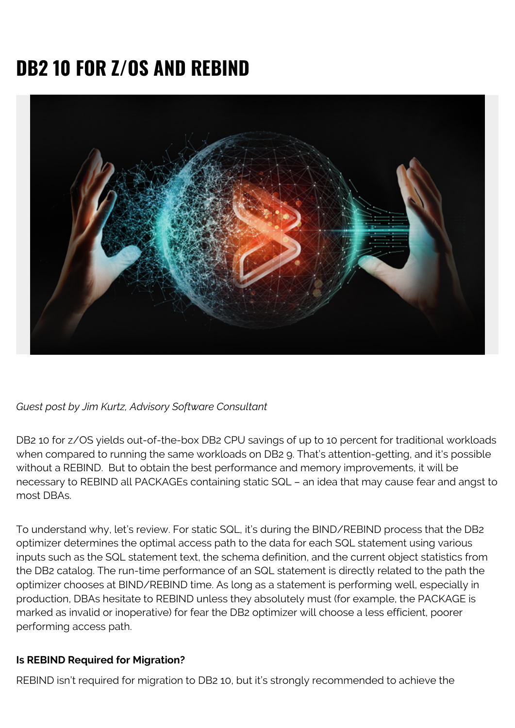## **DB2 10 FOR Z/OS AND REBIND**



*Guest post by Jim Kurtz, Advisory Software Consultant*

DB2 10 for z/OS yields out-of-the-box DB2 CPU savings of up to 10 percent for traditional workloads when compared to running the same workloads on DB2 9. That's attention-getting, and it's possible without a REBIND. But to obtain the best performance and memory improvements, it will be necessary to REBIND all PACKAGEs containing static SQL – an idea that may cause fear and angst to most DBAs.

To understand why, let's review. For static SQL, it's during the BIND/REBIND process that the DB2 optimizer determines the optimal access path to the data for each SQL statement using various inputs such as the SQL statement text, the schema definition, and the current object statistics from the DB2 catalog. The run-time performance of an SQL statement is directly related to the path the optimizer chooses at BIND/REBIND time. As long as a statement is performing well, especially in production, DBAs hesitate to REBIND unless they absolutely must (for example, the PACKAGE is marked as invalid or inoperative) for fear the DB2 optimizer will choose a less efficient, poorer performing access path.

## **Is REBIND Required for Migration?**

REBIND isn't required for migration to DB2 10, but it's strongly recommended to achieve the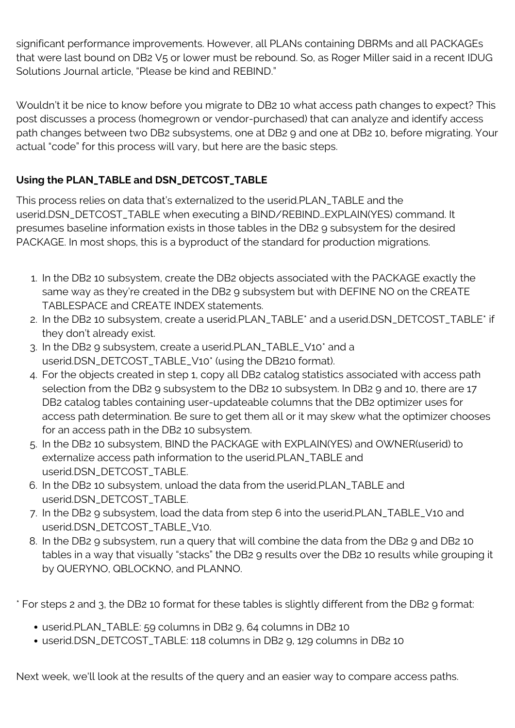significant performance improvements. However, all PLANs containing DBRMs and all PACKAGEs that were last bound on DB2 V5 or lower must be rebound. So, as Roger Miller said in a recent IDUG Solutions Journal article, "Please be kind and REBIND."

Wouldn't it be nice to know before you migrate to DB2 10 what access path changes to expect? This post discusses a process (homegrown or vendor-purchased) that can analyze and identify access path changes between two DB2 subsystems, one at DB2 9 and one at DB2 10, before migrating. Your actual "code" for this process will vary, but here are the basic steps.

## **Using the PLAN\_TABLE and DSN\_DETCOST\_TABLE**

This process relies on data that's externalized to the userid.PLAN\_TABLE and the userid.DSN\_DETCOST\_TABLE when executing a BIND/REBIND…EXPLAIN(YES) command. It presumes baseline information exists in those tables in the DB2 9 subsystem for the desired PACKAGE. In most shops, this is a byproduct of the standard for production migrations.

- 1. In the DB2 10 subsystem, create the DB2 objects associated with the PACKAGE exactly the same way as they're created in the DB2 9 subsystem but with DEFINE NO on the CREATE TABLESPACE and CREATE INDEX statements.
- 2. In the DB2 10 subsystem, create a userid.PLAN\_TABLE\* and a userid.DSN\_DETCOST\_TABLE\* if they don't already exist.
- 3. In the DB2 9 subsystem, create a userid.PLAN\_TABLE\_V10\* and a userid.DSN\_DETCOST\_TABLE\_V10\* (using the DB210 format).
- 4. For the objects created in step 1, copy all DB2 catalog statistics associated with access path selection from the DB2 9 subsystem to the DB2 10 subsystem. In DB2 9 and 10, there are 17 DB2 catalog tables containing user-updateable columns that the DB2 optimizer uses for access path determination. Be sure to get them all or it may skew what the optimizer chooses for an access path in the DB2 10 subsystem.
- 5. In the DB2 10 subsystem, BIND the PACKAGE with EXPLAIN(YES) and OWNER(userid) to externalize access path information to the userid.PLAN\_TABLE and userid.DSN\_DETCOST\_TABLE.
- 6. In the DB2 10 subsystem, unload the data from the userid.PLAN\_TABLE and userid.DSN\_DETCOST\_TABLE.
- 7. In the DB2 9 subsystem, load the data from step 6 into the userid.PLAN\_TABLE\_V10 and userid.DSN\_DETCOST\_TABLE\_V10.
- 8. In the DB2 9 subsystem, run a query that will combine the data from the DB2 9 and DB2 10 tables in a way that visually "stacks" the DB2 9 results over the DB2 10 results while grouping it by QUERYNO, QBLOCKNO, and PLANNO.

\* For steps 2 and 3, the DB2 10 format for these tables is slightly different from the DB2 9 format:

- userid.PLAN\_TABLE: 59 columns in DB2 9, 64 columns in DB2 10
- userid.DSN\_DETCOST\_TABLE: 118 columns in DB2 9, 129 columns in DB2 10

Next week, we'll look at the results of the query and an easier way to compare access paths.